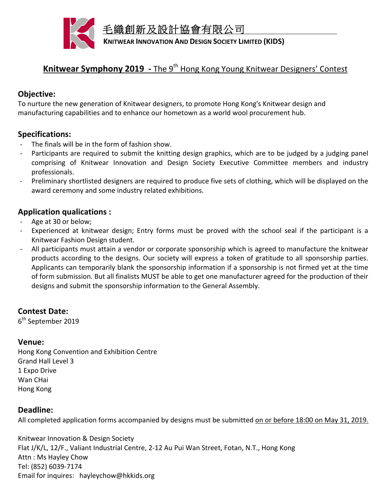

# **Knitwear Symphony 2019** - The 9<sup>th</sup> Hong Kong Young Knitwear Designers' Contest

## **Objective:**

To nurture the new generation of Knitwear designers, to promote Hong Kong's Knitwear design and manufacturing capabilities and to enhance our hometown as a world wool procurement hub.

#### **Specifications:**

- The finals will be in the form of fashion show.
- Participants are required to submit the knitting design graphics, which are to be judged by a judging panel comprising of Knitwear Innovation and Design Society Executive Committee members and industry professionals.
- Preliminary shortlisted designers are required to produce five sets of clothing, which will be displayed on the award ceremony and some industry related exhibitions.

## **Application qualications :**

- Age at 30 or below;
- Experienced at knitwear design; Entry forms must be proved with the school seal if the participant is a Knitwear Fashion Design student.
- All participants must attain a vendor or corporate sponsorship which is agreed to manufacture the knitwear products according to the designs. Our society will express a token of gratitude to all sponsorship parties. Applicants can temporarily blank the sponsorship information if a sponsorship is not firmed yet at the time of form submission. But all finalists MUST be able to get one manufacturer agreed for the production of their designs and submit the sponsorship information to the General Assembly.

## **Contest Date:**

6<sup>th</sup> September 2019

#### **Venue:**

Hong Kong Convention and Exhibition Centre Grand Hall Level 3 1 Expo Drive Wan CHai Hong Kong

## **Deadline:**

All completed application forms accompanied by designs must be submitted on or before 18:00 on May 31, 2019.

Knitwear Innovation & Design Society Flat J/K/L, 12/F., Valiant Industrial Centre, 2-12 Au Pui Wan Street, Fotan, N.T., Hong Kong Attn: Ms Hayley Chow Tel: (852) 6039-7174 Email for inquires: hayleychow@hkkids.org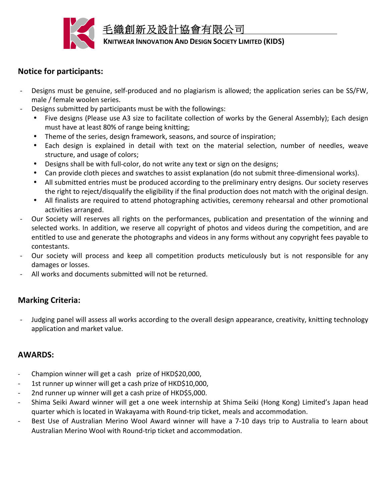

■ <u>■ ■ ● ● 毛織創新及設計協會有限公司</u>

#### **KNITWEAR INNOVATION AND DESIGN SOCIETY LIMITED (KIDS)**

## **Notice for participants:**

- Designs must be genuine, self-produced and no plagiarism is allowed; the application series can be SS/FW, male / female woolen series.
- Designs submitted by participants must be with the followings:
	- Five designs (Please use A3 size to facilitate collection of works by the General Assembly); Each design must have at least 80% of range being knitting;
	- Theme of the series, design framework, seasons, and source of inspiration;
	- Each design is explained in detail with text on the material selection, number of needles, weave structure, and usage of colors;
	- Designs shall be with full-color, do not write any text or sign on the designs;
	- Can provide cloth pieces and swatches to assist explanation (do not submit three-dimensional works).
	- All submitted entries must be produced according to the preliminary entry designs. Our society reserves the right to reject/disqualify the eligibility if the final production does not match with the original design.
	- All finalists are required to attend photographing activities, ceremony rehearsal and other promotional activities arranged.
- Our Society will reserves all rights on the performances, publication and presentation of the winning and selected works. In addition, we reserve all copyright of photos and videos during the competition, and are entitled to use and generate the photographs and videos in any forms without any copyright fees payable to contestants.
- Our society will process and keep all competition products meticulously but is not responsible for any damages or losses.
- All works and documents submitted will not be returned.

## **Marking Criteria:**

Judging panel will assess all works according to the overall design appearance, creativity, knitting technology application and market value.

## **AWARDS:**

- Champion winner will get a cash prize of HKD\$20,000,
- 1st runner up winner will get a cash prize of HKD\$10,000,
- 2nd runner up winner will get a cash prize of HKD\$5,000.
- Shima Seiki Award winner will get a one week internship at Shima Seiki (Hong Kong) Limited's Japan head quarter which is located in Wakayama with Round-trip ticket, meals and accommodation.
- Best Use of Australian Merino Wool Award winner will have a 7-10 days trip to Australia to learn about Australian Merino Wool with Round-trip ticket and accommodation.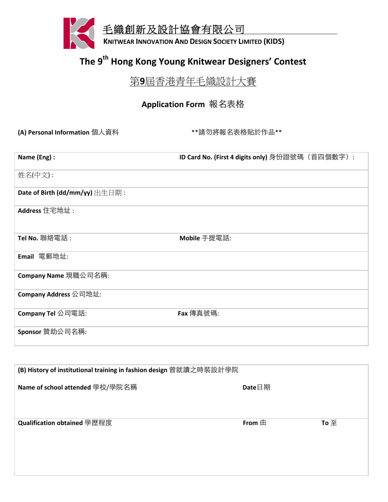

# The 9<sup>th</sup> Hong Kong Young Knitwear Designers' Contest

第**9**屆香港青年毛織設計大賽

## Application Form 報名表格

(A) Personal Information 個人資料 **Ware all accompose to the accompose of the accompose of the accompose** \*\*

| Name (Eng) :                                           | ID Card No. (First 4 digits only) 身份證號碼(首四個數字): |
|--------------------------------------------------------|-------------------------------------------------|
| 姓名(中文):                                                |                                                 |
| Date of Birth (dd/mm/yy) $\pm \pm \boxplus \boxplus$ : |                                                 |
| Address 住宅地址:                                          |                                                 |
| Tel No. 聯絡電話:                                          | Mobile 手提電話:                                    |
| Email 電郵地址:                                            |                                                 |
| Company Name 現職公司名稱:                                   |                                                 |
| Company Address 公司地址:                                  |                                                 |
| Company Tel 公司電話:                                      | <b>Fax</b> 傳真號碼:                                |
| Sponsor 贊助公司名稱:                                        |                                                 |

| (B) History of institutional training in fashion design 曾就讀之時裝設計學院 |                 |          |
|--------------------------------------------------------------------|-----------------|----------|
| Name of school attended 學校/學院名稱                                    | Date日期          |          |
| Qualification obtained 學歷程度                                        | From $\boxplus$ | To $\Xi$ |